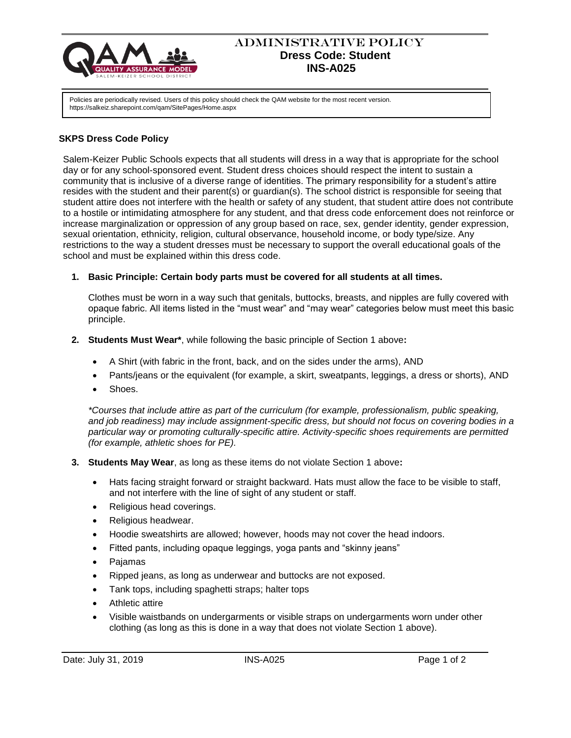

# ADMINISTRATIVE POLICY  **Dress Code: Student INS-A025**

Policies are periodically revised. Users of this policy should check the QAM website for the most recent version. https://salkeiz.sharepoint.com/qam/SitePages/Home.aspx

## **SKPS Dress Code Policy**

Salem-Keizer Public Schools expects that all students will dress in a way that is appropriate for the school day or for any school-sponsored event. Student dress choices should respect the intent to sustain a community that is inclusive of a diverse range of identities. The primary responsibility for a student's attire resides with the student and their parent(s) or guardian(s). The school district is responsible for seeing that student attire does not interfere with the health or safety of any student, that student attire does not contribute to a hostile or intimidating atmosphere for any student, and that dress code enforcement does not reinforce or increase marginalization or oppression of any group based on race, sex, gender identity, gender expression, sexual orientation, ethnicity, religion, cultural observance, household income, or body type/size. Any restrictions to the way a student dresses must be necessary to support the overall educational goals of the school and must be explained within this dress code.

### **1. Basic Principle: Certain body parts must be covered for all students at all times.**

Clothes must be worn in a way such that genitals, buttocks, breasts, and nipples are fully covered with opaque fabric. All items listed in the "must wear" and "may wear" categories below must meet this basic principle.

- **2. Students Must Wear\***, while following the basic principle of Section 1 above**:** 
	- A Shirt (with fabric in the front, back, and on the sides under the arms), AND
	- Pants/jeans or the equivalent (for example, a skirt, sweatpants, leggings, a dress or shorts), AND
	- Shoes.

*\*Courses that include attire as part of the curriculum (for example, professionalism, public speaking, and job readiness) may include assignment-specific dress, but should not focus on covering bodies in a particular way or promoting culturally-specific attire. Activity-specific shoes requirements are permitted (for example, athletic shoes for PE).* 

- **3. Students May Wear**, as long as these items do not violate Section 1 above**:** 
	- Hats facing straight forward or straight backward. Hats must allow the face to be visible to staff, and not interfere with the line of sight of any student or staff.
	- Religious head coverings.
	- Religious headwear.
	- Hoodie sweatshirts are allowed; however, hoods may not cover the head indoors.
	- Fitted pants, including opaque leggings, yoga pants and "skinny jeans"
	- Pajamas
	- Ripped jeans, as long as underwear and buttocks are not exposed.
	- Tank tops, including spaghetti straps; halter tops
	- Athletic attire
	- Visible waistbands on undergarments or visible straps on undergarments worn under other clothing (as long as this is done in a way that does not violate Section 1 above).